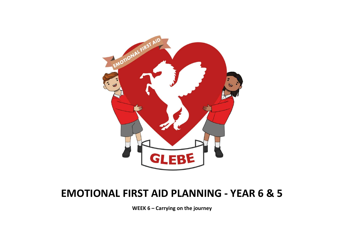

# EMOTIONAL FIRST AID PLANNING - YEAR 6 & 5

WEEK 6 – Carrying on the journey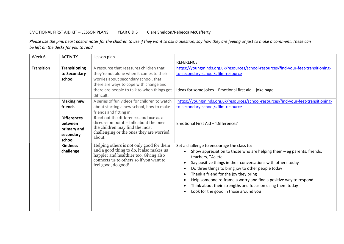# EMOTIONAL FIRST AID KIT – LESSON PLANS YEAR 6 & 5 Clare Sheldon/Rebecca McCafferty

Please use the pink heart post-it notes for the children to use if they want to ask a question, say how they are feeling or just to make a comment. These can be left on the desks for you to read.

| Week 6     | <b>ACTIVITY</b>      | Lesson plan                                                                        |                                                                                    |
|------------|----------------------|------------------------------------------------------------------------------------|------------------------------------------------------------------------------------|
|            |                      |                                                                                    | <b>REFERENCE</b>                                                                   |
| Transition | <b>Transitioning</b> | A resource that reassures children that                                            | https://youngminds.org.uk/resources/school-resources/find-your-feet-transitioning- |
|            | to Secondary         | they're not alone when it comes to their                                           | to-secondary-school/#film-resource                                                 |
|            | school               | worries about secondary school, that                                               |                                                                                    |
|            |                      | there are ways to cope with change and                                             |                                                                                    |
|            |                      | there are people to talk to when things get                                        | Ideas for some jokes - Emotional first aid - joke page                             |
|            |                      | difficult.                                                                         |                                                                                    |
|            | <b>Making new</b>    | A series of fun videos for children to watch                                       | https://youngminds.org.uk/resources/school-resources/find-your-feet-transitioning- |
|            | friends              | about starting a new school, how to make                                           | to-secondary-school/#film-resource                                                 |
|            |                      | friends and fitting in.                                                            |                                                                                    |
|            | <b>Differences</b>   | Read out the differences and use as a                                              |                                                                                    |
|            | between              | discussion point – talk about the ones                                             | Emotional First Aid - 'Differences'                                                |
|            | primary and          | the children may find the most<br>challenging or the ones they are worried         |                                                                                    |
|            | secondary            | about.                                                                             |                                                                                    |
|            | school               |                                                                                    |                                                                                    |
|            | <b>Kindness</b>      | Helping others is not only good for them                                           | Set a challenge to encourage the class to:                                         |
|            | challenge            | and a good thing to do, it also makes us<br>happier and healthier too. Giving also | Show appreciation to those who are helping them - eg parents, friends,             |
|            |                      | connects us to others so if you want to                                            | teachers, TAs etc                                                                  |
|            |                      | feel good, do good!                                                                | Say positive things in their conversations with others today                       |
|            |                      |                                                                                    | Do three things to bring joy to other people today                                 |
|            |                      |                                                                                    | Thank a friend for the joy they bring                                              |
|            |                      |                                                                                    | Help someone re-frame a worry and find a positive way to respond                   |
|            |                      |                                                                                    | Think about their strengths and focus on using them today                          |
|            |                      |                                                                                    | Look for the good in those around you                                              |
|            |                      |                                                                                    |                                                                                    |
|            |                      |                                                                                    |                                                                                    |
|            |                      |                                                                                    |                                                                                    |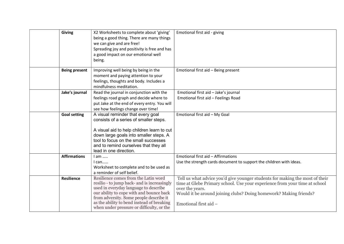| <b>Giving</b>        | X2 Worksheets to complete about 'giving'<br>being a good thing. There are many things<br>we can give and are free!<br>Spreading joy and positivity is free and has<br>a good impact on our emotional well<br>being.                                                                                            | Emotional first aid - giving                                                                                                                                                                                                                                                |
|----------------------|----------------------------------------------------------------------------------------------------------------------------------------------------------------------------------------------------------------------------------------------------------------------------------------------------------------|-----------------------------------------------------------------------------------------------------------------------------------------------------------------------------------------------------------------------------------------------------------------------------|
| <b>Being present</b> | Improving well being by being in the<br>moment and paying attention to your<br>feelings, thoughts and body. Includes a<br>mindfulness meditation.                                                                                                                                                              | Emotional first aid - Being present                                                                                                                                                                                                                                         |
| Jake's journal       | Read the journal in conjunction with the<br>feelings road graph and decide where to<br>put Jake at the end of every entry. You will<br>see how feelings change over time!                                                                                                                                      | Emotional first aid - Jake's journal<br>Emotional first aid - Feelings Road                                                                                                                                                                                                 |
| <b>Goal setting</b>  | A visual reminder that every goal<br>consists of a series of smaller steps.<br>A visual aid to help children learn to cut<br>down large goals into smaller steps. A<br>tool to focus on the small successes<br>and to remind ourselves that they all<br>lead in one direction.                                 | Emotional first aid - My Goal                                                                                                                                                                                                                                               |
| <b>Affirmations</b>  | $I$ am<br>$l$ can<br>Worksheet to complete and to be used as<br>a reminder of self belief.                                                                                                                                                                                                                     | Emotional first aid - Affirmations<br>Use the strength cards document to support the children with ideas.                                                                                                                                                                   |
| Resilience           | Resilience comes from the Latin word<br>resilio - to jump back- and is increasingly<br>used in everyday language to describe<br>our ability to cope with and bounce back<br>from adversity. Some people describe it<br>as the ability to bend instead of breaking<br>when under pressure or difficulty, or the | Tell us what advice you'd give younger students for making the most of their<br>time at Glebe Primary school. Use your experience from your time at school<br>over the years.<br>Would it be around joining clubs? Doing homework? Making friends?<br>Emotional first aid - |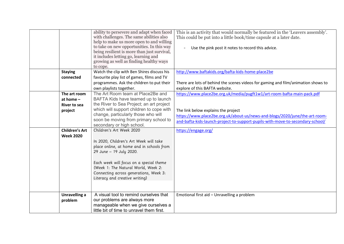|                                                                                                     | ability to persevere and adapt when faced<br>with challenges. The same abilities also<br>help to make us more open to and willing<br>to take on new opportunities. In this way<br>being resilient is more than just survival,<br>it includes letting go, learning and<br>growing as well as finding healthy ways<br>to cope.                                                                                                                                                                                                                                                              | This is an activity that would normally be featured in the 'Leavers assembly'.<br>This could be put into a little book/time capsule at a later date.<br>Use the pink post it notes to record this advice.                                                                                              |
|-----------------------------------------------------------------------------------------------------|-------------------------------------------------------------------------------------------------------------------------------------------------------------------------------------------------------------------------------------------------------------------------------------------------------------------------------------------------------------------------------------------------------------------------------------------------------------------------------------------------------------------------------------------------------------------------------------------|--------------------------------------------------------------------------------------------------------------------------------------------------------------------------------------------------------------------------------------------------------------------------------------------------------|
| <b>Staying</b><br>connected                                                                         | Watch the clip with Ben Shires discuss his<br>favourite play list of games, films and TV<br>programmes. Ask the children to put their<br>own playlists together.                                                                                                                                                                                                                                                                                                                                                                                                                          | http://www.baftakids.org/bafta-kids-home-place2be<br>There are lots of behind the scenes videos for gaming and film/animation shows to<br>explore of this BAFTA website.                                                                                                                               |
| The art room<br>at home $-$<br>River to sea<br>project<br><b>Children's Art</b><br><b>Week 2020</b> | The Art Room team at Place2Be and<br>BAFTA Kids have teamed up to launch<br>the River to Sea Project; an art project<br>which will support children to cope with<br>change, particularly those who will<br>soon be moving from primary school to<br>secondary or high school.<br>Children's Art Week 2020<br>In 2020, Children's Art Week will take<br>place online, at home and in schools from<br>29 June - 19 July 2020.<br>Each week will focus on a special theme<br>(Week 1: The Natural World, Week 2:<br>Connecting across generations, Week 3:<br>Literacy and creative writing) | https://www.place2be.org.uk/media/pugft1w1/art-room-bafta-main-pack.pdf<br>The link below explains the project<br>https://www.place2be.org.uk/about-us/news-and-blogs/2020/june/the-art-room-<br>and-bafta-kids-launch-project-to-support-pupils-with-move-to-secondary-school/<br>https://engage.org/ |
| <b>Unravelling a</b><br>problem                                                                     | A visual tool to remind ourselves that<br>our problems are always more<br>manageable when we give ourselves a<br>little bit of time to unravel them first.                                                                                                                                                                                                                                                                                                                                                                                                                                | Emotional first aid - Unravelling a problem                                                                                                                                                                                                                                                            |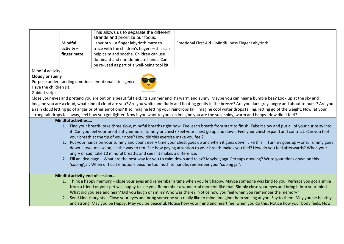|                | This allows us to separate the different<br>strands and prioritize our focus. |                                                    |
|----------------|-------------------------------------------------------------------------------|----------------------------------------------------|
| <b>Mindful</b> | Labyrinth - a finger labyrinth maze to                                        | Emotional First Aid - Mindfulness Finger Labyrinth |
| $\arctivity -$ | trace with the children's fingers - this can                                  |                                                    |
| finger maze    | help calm and soothe. Children can use                                        |                                                    |
|                | dominant and non-dominate hands. Can                                          |                                                    |
|                | be re-used as part of a well-being tool kit.                                  |                                                    |

Mindful activity

#### Cloudy or sunny

Purpose understanding emotions, emotional intelligence



Have the children sit, Guided script

Close your eyes and pretend you are out on a beautiful field. Its summer and it's warm and sunny. Maybe you can hear a bumble bee? Look up at the sky and imagine you are a cloud, what kind of cloud are you? Are you white and fluffy and floating gently in the breeze? Are you dark grey, angry and about to burst? Are you a rain cloud letting go of anger or other emotions? If so imagine letting your raindrops fall. Imagine cool water drops falling, letting go of the weight. Now let your strong raindrops fall away, feel how you get lighter. Now if you want to you can imagine you are the sun, shiny, warm and happy. How did if feel?

## Mindful activities….

- 1. Find your breath- take three slow, mindful breaths right now. Feel each breath from start to finish. Take it slow and put all of your curiosity into it. Can you feel your breath at your nose, tummy or chest? Feel your chest go up and down. Feel your chest expand and contract. Can you feel your breath at the tip of your nose? How did this exercise make you feel?
- 1. Put your hands on your tummy and count every time your chest goes up and when it goes down. Like this … Tummy goes up one. Tummy goes down – two. Ans so on, all the way to ten. See how paying attention to your breath makes you feel? How do you feel afterwards? When your angry or sad, take 10 mindful breaths and see if it makes a difference.
- 2. Fill an idea page….What are the best way for you to calm down and relax? Maybe yoga. Perhaps drawing? Write your ideas down on this 'coping'jar. When difficult emotions become too much to handle, remember your 'coping jar'.

### Mindful activity end of session….

- 1. Think a happy memory close your eyes and remember a time when you felt happy. Maybe someone was kind to you. Perhaps you got a smile from a friend or your pet was happy to see you. Remember a wonderful moment like that. Simply close your eyes and bring it into your mind. What did you see and hear? Did you laugh or smile? Who was there? Notice how you feel when you remember the memory?
- 2. Send kind thoughts Close your eyes and bring someone you really like to mind. Imagine them smiling at you. Say to them 'May you be healthy and strong' May you be Happy, May you be peaceful. Notice how your mind and heart feel when you do this. Notice how your body feels. Now